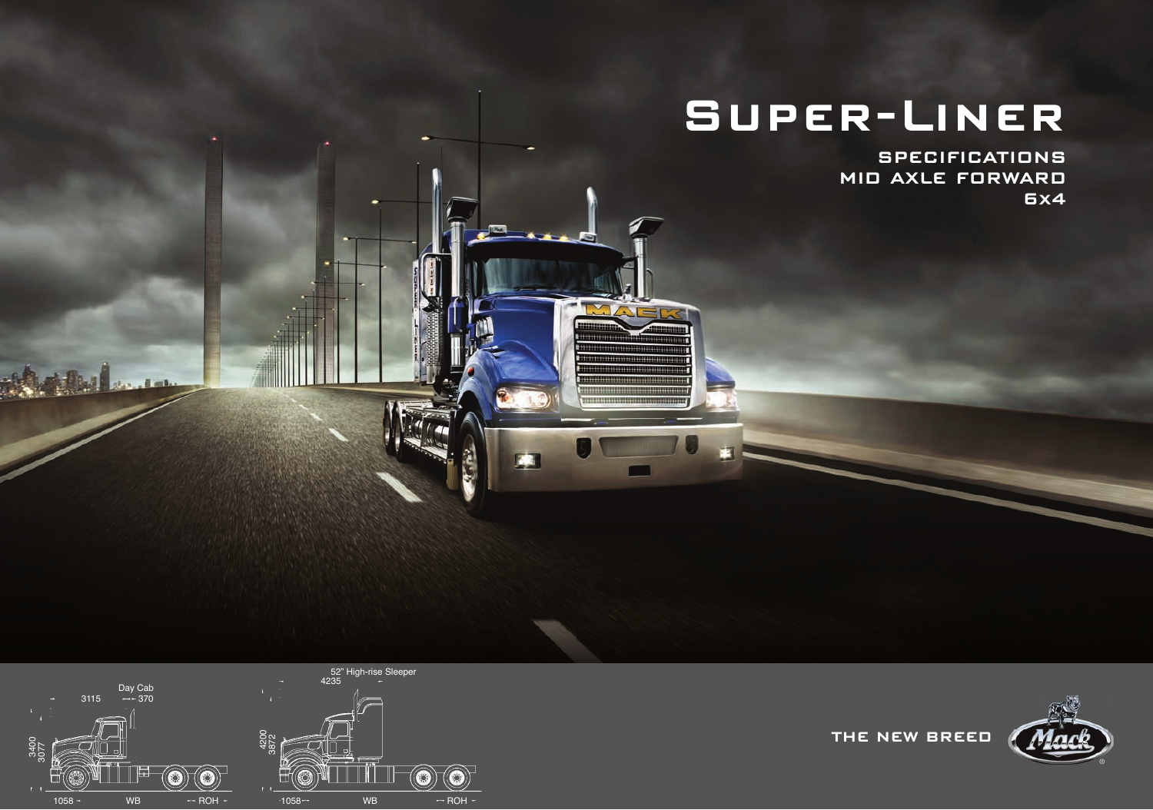# **Super-Liner**

 $\triangle$   $=$ 

**SPECIFICATIONS MID AXLE FORWARD 6x4**





**THE NEW BREED**